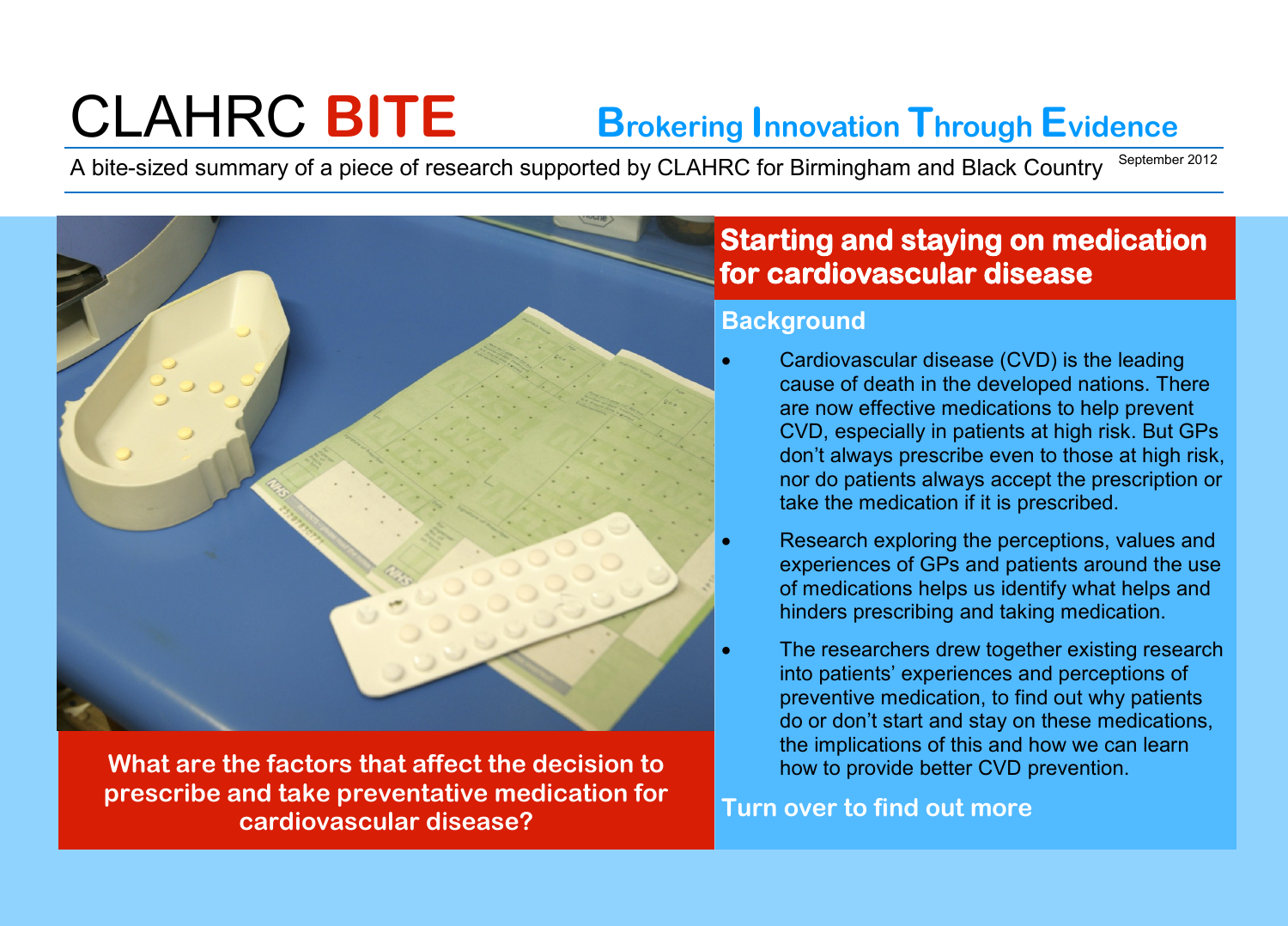# CLAHRC **BITE Brokering Innovation Through Evidence**

A bite-sized summary of a piece of research supported by CLAHRC for Birmingham and Black Country September 2012

**What are the factors that affect the decision to prescribe and take preventative medication for cardiovascular disease?**

## **Starting and staying on medication for cardiovascular disease**

### **Background**

- Cardiovascular disease (CVD) is the leading cause of death in the developed nations. There are now effective medications to help prevent CVD, especially in patients at high risk. But GPs don't always prescribe even to those at high risk, nor do patients always accept the prescription or take the medication if it is prescribed.
- Research exploring the perceptions, values and experiences of GPs and patients around the use of medications helps us identify what helps and hinders prescribing and taking medication.
- The researchers drew together existing research into patients' experiences and perceptions of preventive medication, to find out why patients do or don't start and stay on these medications, the implications of this and how we can learn how to provide better CVD prevention.

**Turn over to find out more**